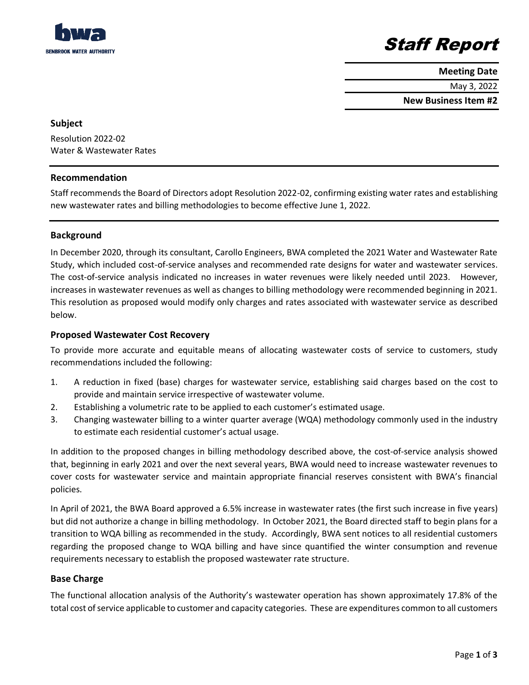

### Staff Report

**Meeting Date**

May 3, 2022

**New Business Item #2**

#### **Subject**

Resolution 2022-02 Water & Wastewater Rates

#### **Recommendation**

Staff recommends the Board of Directors adopt Resolution 2022-02, confirming existing water rates and establishing new wastewater rates and billing methodologies to become effective June 1, 2022.

#### **Background**

In December 2020, through its consultant, Carollo Engineers, BWA completed the 2021 Water and Wastewater Rate Study, which included cost-of-service analyses and recommended rate designs for water and wastewater services. The cost-of-service analysis indicated no increases in water revenues were likely needed until 2023. However, increases in wastewater revenues as well as changes to billing methodology were recommended beginning in 2021. This resolution as proposed would modify only charges and rates associated with wastewater service as described below.

#### **Proposed Wastewater Cost Recovery**

To provide more accurate and equitable means of allocating wastewater costs of service to customers, study recommendations included the following:

- 1. A reduction in fixed (base) charges for wastewater service, establishing said charges based on the cost to provide and maintain service irrespective of wastewater volume.
- 2. Establishing a volumetric rate to be applied to each customer's estimated usage.
- 3. Changing wastewater billing to a winter quarter average (WQA) methodology commonly used in the industry to estimate each residential customer's actual usage.

In addition to the proposed changes in billing methodology described above, the cost-of-service analysis showed that, beginning in early 2021 and over the next several years, BWA would need to increase wastewater revenues to cover costs for wastewater service and maintain appropriate financial reserves consistent with BWA's financial policies.

In April of 2021, the BWA Board approved a 6.5% increase in wastewater rates (the first such increase in five years) but did not authorize a change in billing methodology. In October 2021, the Board directed staff to begin plans for a transition to WQA billing as recommended in the study. Accordingly, BWA sent notices to all residential customers regarding the proposed change to WQA billing and have since quantified the winter consumption and revenue requirements necessary to establish the proposed wastewater rate structure.

#### **Base Charge**

The functional allocation analysis of the Authority's wastewater operation has shown approximately 17.8% of the total cost of service applicable to customer and capacity categories. These are expenditures common to all customers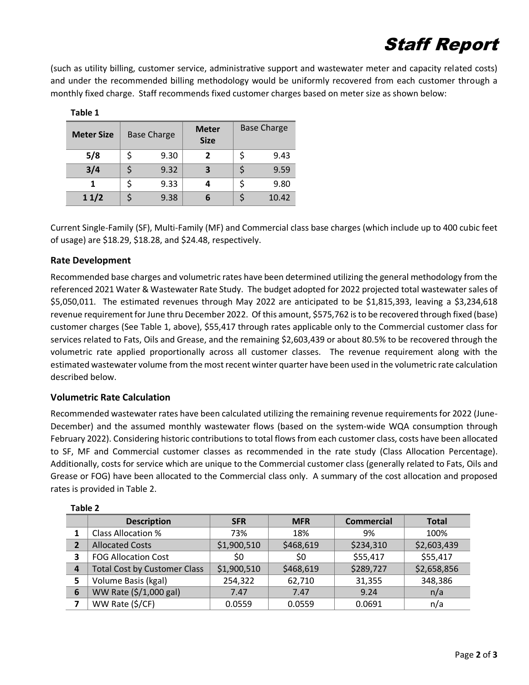# Staff Report

(such as utility billing, customer service, administrative support and wastewater meter and capacity related costs) and under the recommended billing methodology would be uniformly recovered from each customer through a monthly fixed charge. Staff recommends fixed customer charges based on meter size as shown below:

| <b>Meter Size</b> | <b>Base Charge</b> |      | <b>Meter</b><br><b>Size</b> | <b>Base Charge</b> |       |
|-------------------|--------------------|------|-----------------------------|--------------------|-------|
| 5/8               | Ś                  | 9.30 | 2                           |                    | 9.43  |
| 3/4               |                    | 9.32 | 3                           |                    | 9.59  |
| 1                 | Ś                  | 9.33 | 4                           |                    | 9.80  |
| 11/2              |                    | 9.38 | b                           |                    | 10.42 |

**Table 1**

Current Single-Family (SF), Multi-Family (MF) and Commercial class base charges (which include up to 400 cubic feet of usage) are \$18.29, \$18.28, and \$24.48, respectively.

#### **Rate Development**

Recommended base charges and volumetric rates have been determined utilizing the general methodology from the referenced 2021 Water & Wastewater Rate Study. The budget adopted for 2022 projected total wastewater sales of \$5,050,011. The estimated revenues through May 2022 are anticipated to be \$1,815,393, leaving a \$3,234,618 revenue requirement for June thru December 2022. Of this amount, \$575,762 is to be recovered through fixed (base) customer charges (See Table 1, above), \$55,417 through rates applicable only to the Commercial customer class for services related to Fats, Oils and Grease, and the remaining \$2,603,439 or about 80.5% to be recovered through the volumetric rate applied proportionally across all customer classes. The revenue requirement along with the estimated wastewater volume from the most recent winter quarter have been used in the volumetric rate calculation described below.

#### **Volumetric Rate Calculation**

Recommended wastewater rates have been calculated utilizing the remaining revenue requirements for 2022 (June-December) and the assumed monthly wastewater flows (based on the system-wide WQA consumption through February 2022). Considering historic contributions to total flows from each customer class, costs have been allocated to SF, MF and Commercial customer classes as recommended in the rate study (Class Allocation Percentage). Additionally, costs for service which are unique to the Commercial customer class (generally related to Fats, Oils and Grease or FOG) have been allocated to the Commercial class only. A summary of the cost allocation and proposed rates is provided in Table 2.

|                | <b>Description</b>                  | <b>SFR</b>  | <b>MFR</b> | <b>Commercial</b> | <b>Total</b> |  |
|----------------|-------------------------------------|-------------|------------|-------------------|--------------|--|
|                | <b>Class Allocation %</b>           | 73%         | 18%        | 9%                | 100%         |  |
| $\overline{2}$ | <b>Allocated Costs</b>              | \$1,900,510 | \$468,619  | \$234,310         | \$2,603,439  |  |
| 3              | <b>FOG Allocation Cost</b>          | \$0         | SO.        | \$55,417          | \$55,417     |  |
| 4              | <b>Total Cost by Customer Class</b> | \$1,900,510 | \$468,619  | \$289,727         | \$2,658,856  |  |
| 5              | Volume Basis (kgal)                 | 254,322     | 62,710     | 31,355            | 348,386      |  |
| 6              | WW Rate (\$/1,000 gal)              | 7.47        | 7.47       | 9.24              | n/a          |  |
| 7              | WW Rate (\$/CF)                     | 0.0559      | 0.0559     | 0.0691            | n/a          |  |

#### **Table 2**